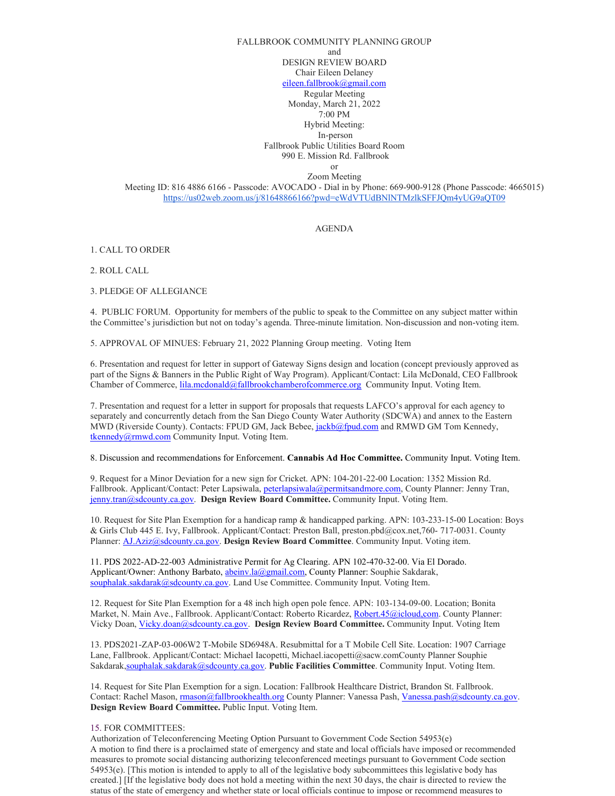## FALLBROOK COMMUNITY PLANNING GROUP and DESIGN REVIEW BOARD Chair Eileen Delaney [eileen.fallbrook@gmail.com](mailto:eileen.fallbrook@gmail.com) Regular Meeting Monday, March 21, 2022 7:00 PM Hybrid Meeting: In-person

Fallbrook Public Utilities Board Room 990 E. Mission Rd. Fallbrook

or

Zoom Meeting

Meeting ID: 816 4886 6166 - Passcode: AVOCADO - Dial in by Phone: 669-900-9128 (Phone Passcode: 4665015) <https://us02web.zoom.us/j/81648866166?pwd=eWdVTUdBNlNTMzlkSFFJQm4yUG9aQT09>

AGENDA

1. CALL TO ORDER

2. ROLL CALL

3. PLEDGE OF ALLEGIANCE

4. PUBLIC FORUM. Opportunity for members of the public to speak to the Committee on any subject matter within the Committee's jurisdiction but not on today's agenda. Three-minute limitation. Non-discussion and non-voting item.

5. APPROVAL OF MINUES: February 21, 2022 Planning Group meeting. Voting Item

6. Presentation and request for letter in support of Gateway Signs design and location (concept previously approved as part of the Signs & Banners in the Public Right of Way Program). Applicant/Contact: Lila McDonald, CEO Fallbrook Chamber of Commerce, [lila.mcdonald@fallbrookchamberofcommerce.org](mailto:lila.mcdonald@fallbrookchamberofcommerce.org) Community Input. Voting Item.

7. Presentation and request for a letter in support for proposals that requests LAFCO's approval for each agency to separately and concurrently detach from the San Diego County Water Authority (SDCWA) and annex to the Eastern MWD (Riverside County). Contacts: FPUD GM, Jack Bebee[, jackb@fpud.com](mailto:jackb@fpud.com) and RMWD GM Tom Kennedy, [tkennedy@rmwd.com](mailto:tkennedy@rmwd.com) Community Input. Voting Item.

8. Discussion and recommendations for Enforcement. **Cannabis Ad Hoc Committee.** Community Input. Voting Item.

9. Request for a Minor Deviation for a new sign for Cricket. APN: 104-201-22-00 Location: 1352 Mission Rd. Fallbrook. Applicant/Contact: Peter Lapsiwala[, peterlapsiwala@permitsandmore.com,](mailto:peterlapsiwala@permitsandmore.com) County Planner: Jenny Tran, [jenny.tran@sdcounty.ca.gov.](mailto:jenny.tran@sdcounty.ca.gov) **Design Review Board Committee.** Community Input. Voting Item.

10. Request for Site Plan Exemption for a handicap ramp & handicapped parking. APN: 103-233-15-00 Location: Boys & Girls Club 445 E. Ivy, Fallbrook. Applicant/Contact: Preston Ball, preston.pbd@cox.net,760- 717-0031. County Planner[: AJ.Aziz@sdcounty.ca.gov.](mailto:AJ.Aziz@sdcounty.ca.gov) **Design Review Board Committee**. Community Input. Voting item.

11. PDS 2022-AD-22-003 Administrative Permit for Ag Clearing. APN 102-470-32-00. Via El Dorado. Applicant/Owner: Anthony Barbato, *abeiny.la@gmail.com*, County Planner: Souphie Sakdarak, [souphalak.sakdarak@sdcounty.ca.gov.](mailto:souphalak.sakdarak@sdcounty.ca.gov) Land Use Committee. Community Input. Voting Item.

12. Request for Site Plan Exemption for a 48 inch high open pole fence. APN: 103-134-09-00. Location; Bonita Market, N. Main Ave., Fallbrook. Applicant/Contact: Roberto Ricardez, Robert.45@icloud.com. County Planner: Vicky Doan[, Vicky.doan@sdcounty.ca.gov.](mailto:Vicky.doan@sdcounty.ca.gov) **Design Review Board Committee.** Community Input. Voting Item

13. PDS2021-ZAP-03-006W2 T-Mobile SD6948A. Resubmittal for a T Mobile Cell Site. Location: 1907 Carriage Lane, Fallbrook. Applicant/Contact: Michael Iacopetti, Michael.iacopetti@sacw.comCounty Planner Souphie Sakdara[k,souphalak.sakdarak@sdcounty.ca.gov.](mailto:souphalak.sakdarak@sdcounty.ca.gov) **Public Facilities Committee**. Community Input. Voting Item.

14. Request for Site Plan Exemption for a sign. Location: Fallbrook Healthcare District, Brandon St. Fallbrook. Contact: Rachel Mason, [rmason@fallbrookhealth.org](mailto:rmason@fallbrookhealth.org) County Planner: Vanessa Pash, Vanessa.pash@sdcounty.ca.gov. **Design Review Board Committee.** Public Input. Voting Item.

## 15. FOR COMMITTEES:

Authorization of Teleconferencing Meeting Option Pursuant to Government Code Section 54953(e) A motion to find there is a proclaimed state of emergency and state and local officials have imposed or recommended measures to promote social distancing authorizing teleconferenced meetings pursuant to Government Code section 54953(e). [This motion is intended to apply to all of the legislative body subcommittees this legislative body has created.] [If the legislative body does not hold a meeting within the next 30 days, the chair is directed to review the status of the state of emergency and whether state or local officials continue to impose or recommend measures to